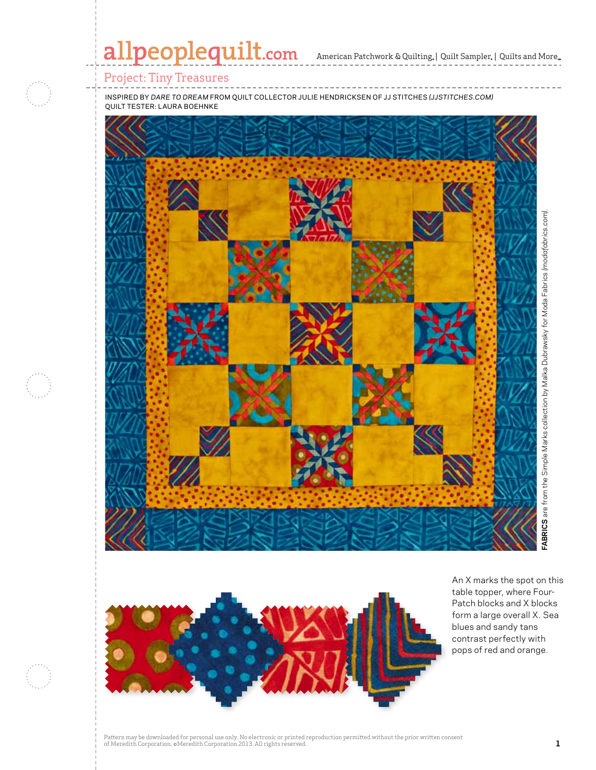# allpeoplequilt.com

American Patchwork & Quilting, | Quilt Sampler, | Quilts and More...

## Project: Tiny Treasures

inspired by *dare to dream* from quilt collector julie hendricksen of jj stitches *(jjstitches.com)* quilt tester: laura boehnke





An X marks the spot on this table topper, where Four-Patch blocks and X blocks form a large overall X. Sea blues and sandy tans contrast perfectly with pops of red and orange.

Pattern may be downloaded for personal use only. No electronic or printed reproduction permitted without the prior written consent of Meredith Corporation. ©Meredith Corporation 2013. All rights reserved. **1**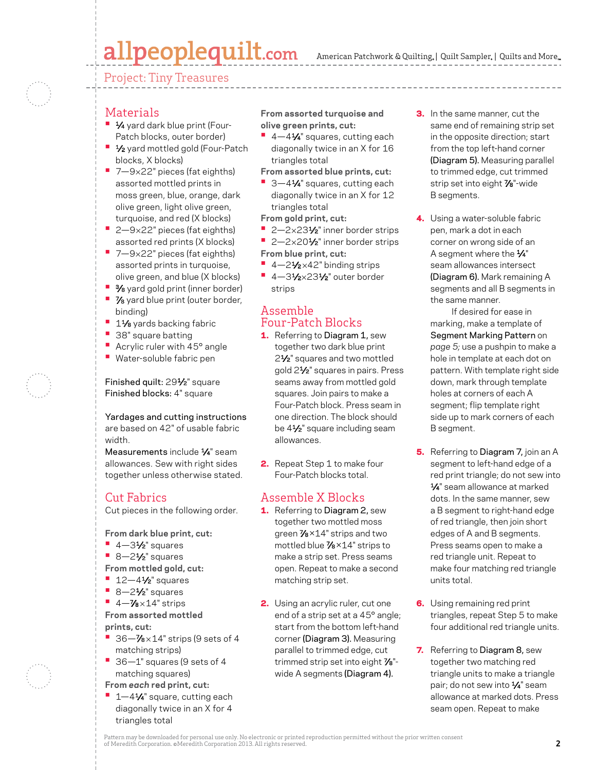# allpeoplequilt.com

American Patchwork & Quilting, | Quilt Sampler, | Quilts and More...

Project: Tiny Treasures

## Materials

- **1⁄4** yard dark blue print (Four-Patch blocks, outer border)
- **1⁄2** yard mottled gold (Four-Patch blocks, X blocks)
- 7-9×22" pieces (fat eighths) assorted mottled prints in moss green, blue, orange, dark olive green, light olive green, turquoise, and red (X blocks)
- 2-9×22" pieces (fat eighths) assorted red prints (X blocks)
- 7-9×22" pieces (fat eighths) assorted prints in turquoise, olive green, and blue (X blocks)
- **•**  3⁄8 yard gold print (inner border)
- **•**  7⁄8 yard blue print (outer border, binding)
- **<sup>■</sup>** 1½ yards backing fabric
- **•**  38" square batting
- **•** Acrylic ruler with 45° angle **•**  Water-soluble fabric pen

Finished quilt: 291⁄2" square Finished blocks: 4" square

Yardages and cutting instructions are based on 42" of usable fabric width.

Measurements include  $\frac{1}{4}$ " seam allowances. Sew with right sides together unless otherwise stated.

## Cut Fabrics

Cut pieces in the following order.

**From dark blue print, cut:**

- **•**  4—31⁄2" squares
- **•**  8—21⁄2" squares
- **From mottled gold, cut:**
- **•**  12—41⁄2" squares
- 8-21⁄<sub>2</sub>" squares
- $-4 \frac{7}{8} \times 14$ " strips

**From assorted mottled prints, cut:**

- **•**  36—7⁄8 <sup>×</sup> 14" strips (9 sets of 4 matching strips)
- **•**  36—1" squares (9 sets of 4 matching squares)
- **From** *each* **red print, cut:**
- 1-41⁄4" square, cutting each diagonally twice in an X for 4 triangles total

**From assorted turquoise and olive green prints, cut:**

- 4-41⁄4" squares, cutting each diagonally twice in an X for 16 triangles total
- **From assorted blue prints, cut:**
- 3-41⁄4" squares, cutting each diagonally twice in an X for 12 triangles total
- **From gold print, cut:**
- 2-2×231⁄2" inner border strips
- 2-2×201⁄2" inner border strips
- **From blue print, cut:**
- 4-2<sup>1</sup>⁄<sub>2×42</sub>" binding strips **•** 4-31/2×231/2" outer border
- strips

## Assemble Four-Patch Blocks

- 1. Referring to Diagram 1, sew together two dark blue print 21⁄2" squares and two mottled gold 21⁄2" squares in pairs. Press seams away from mottled gold squares. Join pairs to make a Four-Patch block. Press seam in one direction. The block should be 4<sup>1/2"</sup> square including seam allowances.
- **2.** Repeat Step 1 to make four Four-Patch blocks total.

## Assemble X Blocks

- 1. Referring to Diagram 2, sew together two mottled moss green 7⁄8 ×14" strips and two mottled blue 7⁄8 ×14" strips to make a strip set. Press seams open. Repeat to make a second matching strip set.
- 2. Using an acrylic ruler, cut one end of a strip set at a 45° angle; start from the bottom left-hand corner (Diagram 3). Measuring parallel to trimmed edge, cut trimmed strip set into eight 7⁄8" wide A segments (Diagram 4).
- **3.** In the same manner, cut the same end of remaining strip set in the opposite direction; start from the top left-hand corner (Diagram 5). Measuring parallel to trimmed edge, cut trimmed strip set into eight 7<sup>8"-</sup>wide B segments.
- 4. Using a water-soluble fabric pen, mark a dot in each corner on wrong side of an A segment where the 1⁄4" seam allowances intersect (Diagram 6). Mark remaining A segments and all B segments in the same manner.

If desired for ease in marking, make a template of Segment Marking Pattern on *page 5;* use a pushpin to make a hole in template at each dot on pattern. With template right side down, mark through template holes at corners of each A segment; flip template right side up to mark corners of each B segment.

- **5.** Referring to Diagram 7, join an A segment to left-hand edge of a red print triangle; do not sew into 1⁄4" seam allowance at marked dots. In the same manner, sew a B segment to right-hand edge of red triangle, then join short edges of A and B segments. Press seams open to make a red triangle unit. Repeat to make four matching red triangle units total.
- **6.** Using remaining red print triangles, repeat Step 5 to make four additional red triangle units.
- 7. Referring to Diagram 8, sew together two matching red triangle units to make a triangle pair; do not sew into 1⁄4" seam allowance at marked dots. Press seam open. Repeat to make

Pattern may be downloaded for personal use only. No electronic or printed reproduction permitted without the prior written consent of Meredith Corporation. ©Meredith Corporation 2013. All rights reserved. **2**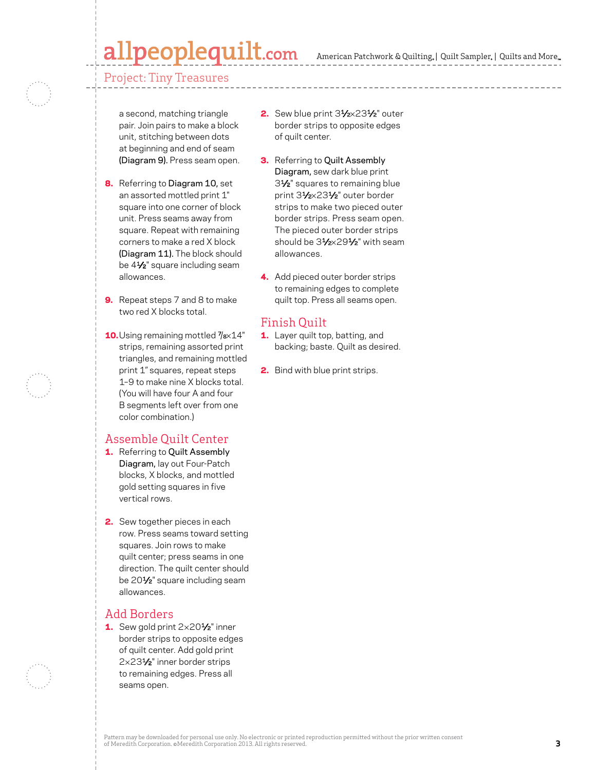## peoplequilt.com

American Patchwork & Quilting,  $|$  Quilt Sampler,  $|$  Quilts and More,

Project: Tiny Treasures

a second, matching triangle pair. Join pairs to make a block unit, stitching between dots at beginning and end of seam (Diagram 9). Press seam open.

- 8. Referring to Diagram 10, set an assorted mottled print 1" square into one corner of block unit. Press seams away from square. Repeat with remaining corners to make a red X block (Diagram 11). The block should be 4<sup>1/2"</sup> square including seam allowances.
- **9.** Repeat steps 7 and 8 to make two red X blocks total.
- 10. Using remaining mottled  $\frac{\gamma_{\text{ex}}}{4}$ strips, remaining assorted print triangles, and remaining mottled print 1" squares, repeat steps 1–9 to make nine X blocks total. (You will have four A and four B segments left over from one color combination.)

### Assemble Quilt Center

- 1. Referring to Quilt Assembly Diagram, lay out Four-Patch blocks, X blocks, and mottled gold setting squares in five vertical rows.
- 2. Sew together pieces in each row. Press seams toward setting squares. Join rows to make quilt center; press seams in one direction. The quilt center should be 201⁄2" square including seam allowances.

### Add Borders

1. Sew gold print 2×201/<sub>2</sub>" inner border strips to opposite edges of quilt center. Add gold print 2×231⁄2" inner border strips to remaining edges. Press all seams open.

- 2. Sew blue print 31/2×231/2" outer border strips to opposite edges of quilt center.
- **3.** Referring to Quilt Assembly Diagram, sew dark blue print 31⁄2" squares to remaining blue print 31⁄2×231⁄2" outer border strips to make two pieced outer border strips. Press seam open. The pieced outer border strips should be 31/2×291/2" with seam allowances.
- 4. Add pieced outer border strips to remaining edges to complete quilt top. Press all seams open.

## Finish Quilt

- 1. Layer quilt top, batting, and backing; baste. Quilt as desired.
- 2. Bind with blue print strips.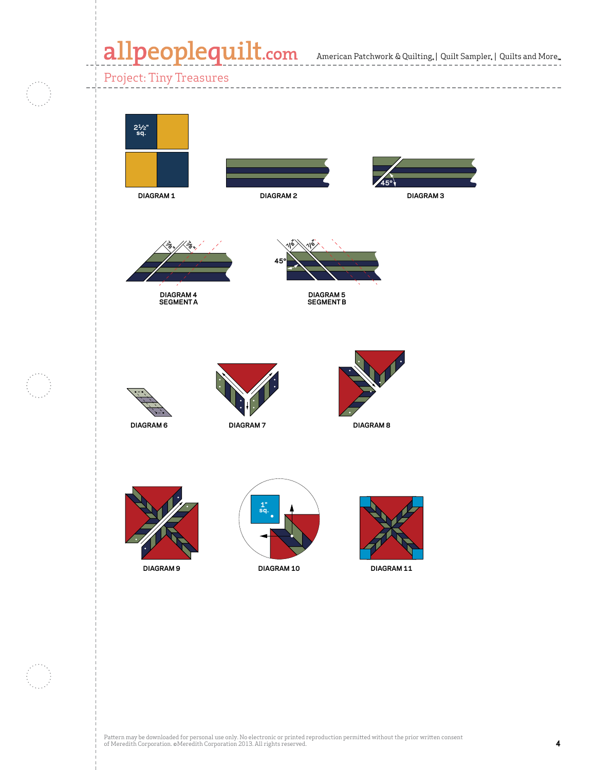American Patchwork & Quilting | Quilt Sampler | Quilts and More **APQ APRIL 2013 CMR 4976146 X Block and Four-Patch**